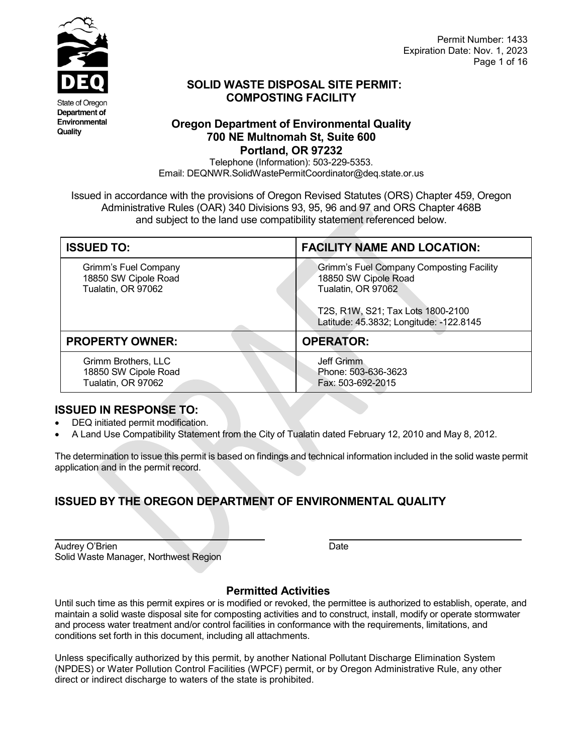

Department of Environmental Quality

Permit Number: 1433 Expiration Date: Nov. 1, 2023 Page 1 of 16

## **SOLID WASTE DISPOSAL SITE PERMIT: COMPOSTING FACILITY**

### **Oregon Department of Environmental Quality 700 NE Multnomah St, Suite 600 Portland, OR 97232**

Telephone (Information): 503-229-5353. Email: DEQNWR.SolidWastePermitCoordinator@deq.state.or.us

Issued in accordance with the provisions of Oregon Revised Statutes (ORS) Chapter 459, Oregon Administrative Rules (OAR) 340 Divisions 93, 95, 96 and 97 and ORS Chapter 468B and subject to the land use compatibility statement referenced below.

| <b>ISSUED TO:</b>                                                  | <b>FACILITY NAME AND LOCATION:</b>                                                                                                                                     |  |
|--------------------------------------------------------------------|------------------------------------------------------------------------------------------------------------------------------------------------------------------------|--|
| Grimm's Fuel Company<br>18850 SW Cipole Road<br>Tualatin, OR 97062 | Grimm's Fuel Company Composting Facility<br>18850 SW Cipole Road<br>Tualatin, OR 97062<br>T2S, R1W, S21; Tax Lots 1800-2100<br>Latitude: 45.3832; Longitude: -122.8145 |  |
| <b>PROPERTY OWNER:</b>                                             | <b>OPERATOR:</b>                                                                                                                                                       |  |
| Grimm Brothers, LLC<br>18850 SW Cipole Road<br>Tualatin, OR 97062  | Jeff Grimm<br>Phone: 503-636-3623<br>Fax: 503-692-2015                                                                                                                 |  |

### **ISSUED IN RESPONSE TO:**

- DEQ initiated permit modification.
- A Land Use Compatibility Statement from the City of Tualatin dated February 12, 2010 and May 8, 2012.

The determination to issue this permit is based on findings and technical information included in the solid waste permit application and in the permit record.

# **ISSUED BY THE OREGON DEPARTMENT OF ENVIRONMENTAL QUALITY**

| Audrey O'Brien                        | Date |
|---------------------------------------|------|
| Solid Waste Manager, Northwest Region |      |

## **Permitted Activities**

Until such time as this permit expires or is modified or revoked, the permittee is authorized to establish, operate, and maintain a solid waste disposal site for composting activities and to construct, install, modify or operate stormwater and process water treatment and/or control facilities in conformance with the requirements, limitations, and conditions set forth in this document, including all attachments.

Unless specifically authorized by this permit, by another National Pollutant Discharge Elimination System (NPDES) or Water Pollution Control Facilities (WPCF) permit, or by Oregon Administrative Rule, any other direct or indirect discharge to waters of the state is prohibited.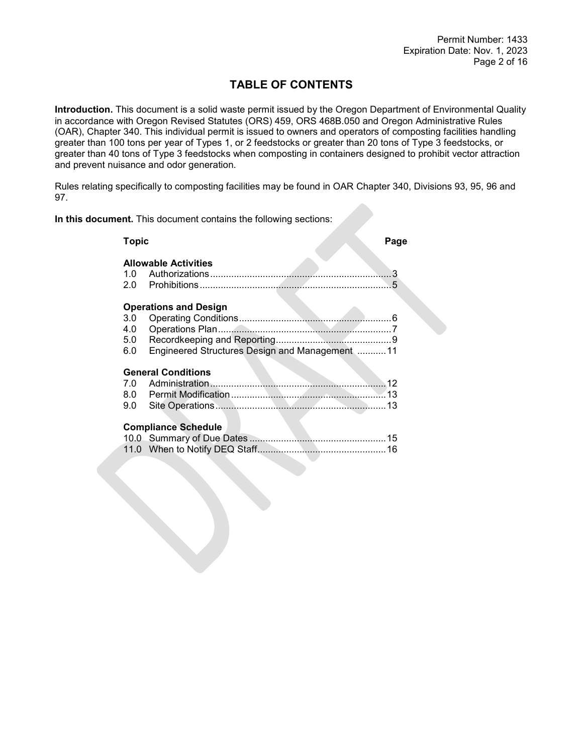# **TABLE OF CONTENTS**

**Introduction.** This document is a solid waste permit issued by the Oregon Department of Environmental Quality in accordance with Oregon Revised Statutes (ORS) 459, ORS 468B.050 and Oregon Administrative Rules (OAR), Chapter 340. This individual permit is issued to owners and operators of composting facilities handling greater than 100 tons per year of Types 1, or 2 feedstocks or greater than 20 tons of Type 3 feedstocks, or greater than 40 tons of Type 3 feedstocks when composting in containers designed to prohibit vector attraction and prevent nuisance and odor generation.

Rules relating specifically to composting facilities may be found in OAR Chapter 340, Divisions 93, 95, 96 and 97.

**In this document.** This document contains the following sections:

| <b>Topic</b>             |                                                                                | Page |
|--------------------------|--------------------------------------------------------------------------------|------|
| 1.0                      | <b>Allowable Activities</b>                                                    | 3    |
| 3.0<br>4.0<br>5.0<br>6.0 | <b>Operations and Design</b><br>Engineered Structures Design and Management 11 |      |
|                          | <b>General Conditions</b>                                                      |      |
| 7.0                      |                                                                                |      |
|                          |                                                                                |      |
| 9.0                      | <b>Compliance Schedule</b>                                                     |      |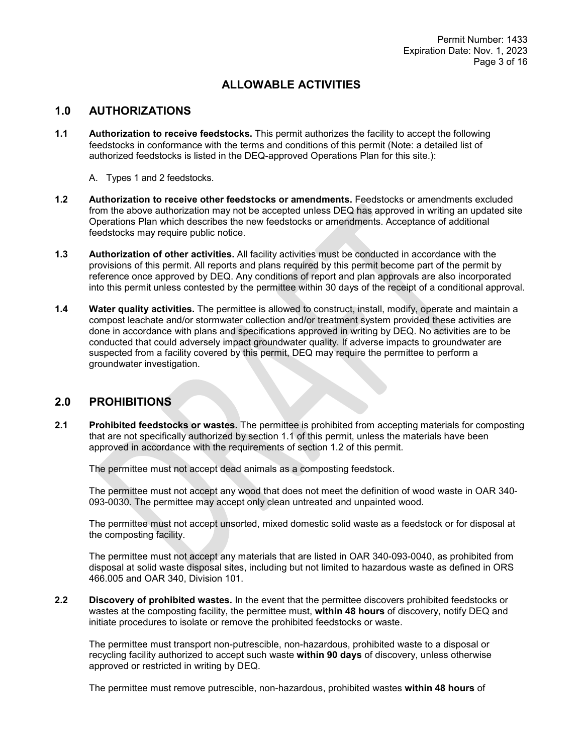### **ALLOWABLE ACTIVITIES**

#### **1.0 AUTHORIZATIONS**

- **1.1 Authorization to receive feedstocks.** This permit authorizes the facility to accept the following feedstocks in conformance with the terms and conditions of this permit (Note: a detailed list of authorized feedstocks is listed in the DEQ-approved Operations Plan for this site.):
	- A. Types 1 and 2 feedstocks.
- **1.2 Authorization to receive other feedstocks or amendments.** Feedstocks or amendments excluded from the above authorization may not be accepted unless DEQ has approved in writing an updated site Operations Plan which describes the new feedstocks or amendments. Acceptance of additional feedstocks may require public notice.
- **1.3 Authorization of other activities.** All facility activities must be conducted in accordance with the provisions of this permit. All reports and plans required by this permit become part of the permit by reference once approved by DEQ. Any conditions of report and plan approvals are also incorporated into this permit unless contested by the permittee within 30 days of the receipt of a conditional approval.
- **1.4 Water quality activities.** The permittee is allowed to construct, install, modify, operate and maintain a compost leachate and/or stormwater collection and/or treatment system provided these activities are done in accordance with plans and specifications approved in writing by DEQ. No activities are to be conducted that could adversely impact groundwater quality. If adverse impacts to groundwater are suspected from a facility covered by this permit, DEQ may require the permittee to perform a groundwater investigation.

#### **2.0 PROHIBITIONS**

**2.1 Prohibited feedstocks or wastes.** The permittee is prohibited from accepting materials for composting that are not specifically authorized by section 1.1 of this permit, unless the materials have been approved in accordance with the requirements of section 1.2 of this permit.

The permittee must not accept dead animals as a composting feedstock.

The permittee must not accept any wood that does not meet the definition of wood waste in OAR 340- 093-0030. The permittee may accept only clean untreated and unpainted wood.

The permittee must not accept unsorted, mixed domestic solid waste as a feedstock or for disposal at the composting facility.

The permittee must not accept any materials that are listed in OAR 340-093-0040, as prohibited from disposal at solid waste disposal sites, including but not limited to hazardous waste as defined in ORS 466.005 and OAR 340, Division 101.

**2.2 Discovery of prohibited wastes.** In the event that the permittee discovers prohibited feedstocks or wastes at the composting facility, the permittee must, **within 48 hours** of discovery, notify DEQ and initiate procedures to isolate or remove the prohibited feedstocks or waste.

The permittee must transport non-putrescible, non-hazardous, prohibited waste to a disposal or recycling facility authorized to accept such waste **within 90 days** of discovery, unless otherwise approved or restricted in writing by DEQ.

The permittee must remove putrescible, non-hazardous, prohibited wastes **within 48 hours** of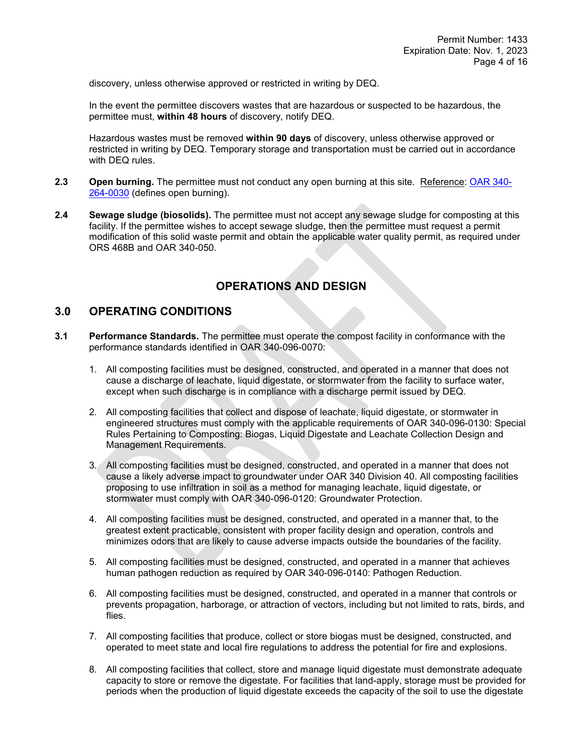discovery, unless otherwise approved or restricted in writing by DEQ.

In the event the permittee discovers wastes that are hazardous or suspected to be hazardous, the permittee must, **within 48 hours** of discovery, notify DEQ.

Hazardous wastes must be removed **within 90 days** of discovery, unless otherwise approved or restricted in writing by DEQ. Temporary storage and transportation must be carried out in accordance with DEQ rules.

- **2.3 Open burning.** The permittee must not conduct any open burning at this site. Reference: [OAR 340-](http://arcweb.sos.state.or.us/pages/rules/oars_300/oar_340/340_264.html) [264-0030](http://arcweb.sos.state.or.us/pages/rules/oars_300/oar_340/340_264.html) (defines open burning).
- **2.4 Sewage sludge (biosolids).** The permittee must not accept any sewage sludge for composting at this facility. If the permittee wishes to accept sewage sludge, then the permittee must request a permit modification of this solid waste permit and obtain the applicable water quality permit, as required under ORS 468B and OAR 340-050.

### **OPERATIONS AND DESIGN**

#### **3.0 OPERATING CONDITIONS**

- **3.1 Performance Standards.** The permittee must operate the compost facility in conformance with the performance standards identified in OAR 340-096-0070:
	- 1. All composting facilities must be designed, constructed, and operated in a manner that does not cause a discharge of leachate, liquid digestate, or stormwater from the facility to surface water, except when such discharge is in compliance with a discharge permit issued by DEQ.
	- 2. All composting facilities that collect and dispose of leachate, liquid digestate, or stormwater in engineered structures must comply with the applicable requirements of OAR 340-096-0130: Special Rules Pertaining to Composting: Biogas, Liquid Digestate and Leachate Collection Design and Management Requirements.
	- 3. All composting facilities must be designed, constructed, and operated in a manner that does not cause a likely adverse impact to groundwater under OAR 340 Division 40. All composting facilities proposing to use infiltration in soil as a method for managing leachate, liquid digestate, or stormwater must comply with OAR 340-096-0120: Groundwater Protection.
	- 4. All composting facilities must be designed, constructed, and operated in a manner that, to the greatest extent practicable, consistent with proper facility design and operation, controls and minimizes odors that are likely to cause adverse impacts outside the boundaries of the facility.
	- 5. All composting facilities must be designed, constructed, and operated in a manner that achieves human pathogen reduction as required by OAR 340-096-0140: Pathogen Reduction.
	- 6. All composting facilities must be designed, constructed, and operated in a manner that controls or prevents propagation, harborage, or attraction of vectors, including but not limited to rats, birds, and flies.
	- 7. All composting facilities that produce, collect or store biogas must be designed, constructed, and operated to meet state and local fire regulations to address the potential for fire and explosions.
	- 8. All composting facilities that collect, store and manage liquid digestate must demonstrate adequate capacity to store or remove the digestate. For facilities that land-apply, storage must be provided for periods when the production of liquid digestate exceeds the capacity of the soil to use the digestate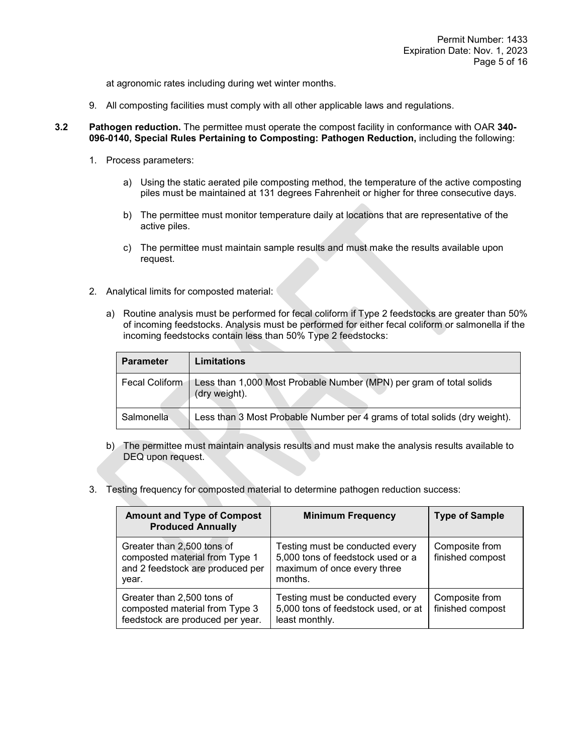at agronomic rates including during wet winter months.

- 9. All composting facilities must comply with all other applicable laws and regulations.
- **3.2 Pathogen reduction.** The permittee must operate the compost facility in conformance with OAR **340- 096-0140, Special Rules Pertaining to Composting: Pathogen Reduction,** including the following:
	- 1. Process parameters:
		- a) Using the static aerated pile composting method, the temperature of the active composting piles must be maintained at 131 degrees Fahrenheit or higher for three consecutive days.
		- b) The permittee must monitor temperature daily at locations that are representative of the active piles.
		- c) The permittee must maintain sample results and must make the results available upon request.
	- 2. Analytical limits for composted material:
		- a) Routine analysis must be performed for fecal coliform if Type 2 feedstocks are greater than 50% of incoming feedstocks. Analysis must be performed for either fecal coliform or salmonella if the incoming feedstocks contain less than 50% Type 2 feedstocks:

| <b>Parameter</b> | Limitations                                                                          |
|------------------|--------------------------------------------------------------------------------------|
| Fecal Coliform   | Less than 1,000 Most Probable Number (MPN) per gram of total solids<br>(dry weight). |
| Salmonella       | Less than 3 Most Probable Number per 4 grams of total solids (dry weight).           |

- b) The permittee must maintain analysis results and must make the analysis results available to DEQ upon request.
- 3. Testing frequency for composted material to determine pathogen reduction success:

| <b>Amount and Type of Compost</b><br><b>Produced Annually</b>                                             | <b>Minimum Frequency</b>                                                                                       | <b>Type of Sample</b>              |
|-----------------------------------------------------------------------------------------------------------|----------------------------------------------------------------------------------------------------------------|------------------------------------|
| Greater than 2,500 tons of<br>composted material from Type 1<br>and 2 feedstock are produced per<br>year. | Testing must be conducted every<br>5,000 tons of feedstock used or a<br>maximum of once every three<br>months. | Composite from<br>finished compost |
| Greater than 2,500 tons of<br>composted material from Type 3<br>feedstock are produced per year.          | Testing must be conducted every<br>5,000 tons of feedstock used, or at<br>least monthly.                       | Composite from<br>finished compost |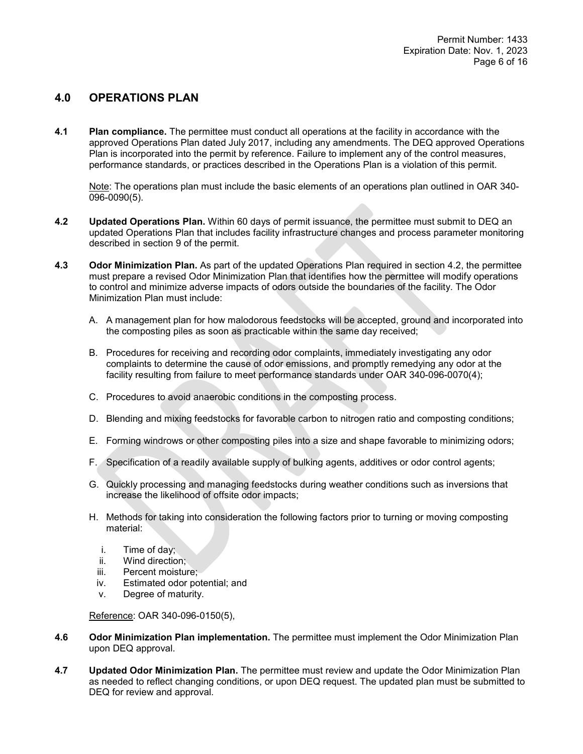### **4.0 OPERATIONS PLAN**

**4.1 Plan compliance.** The permittee must conduct all operations at the facility in accordance with the approved Operations Plan dated July 2017, including any amendments. The DEQ approved Operations Plan is incorporated into the permit by reference. Failure to implement any of the control measures, performance standards, or practices described in the Operations Plan is a violation of this permit.

Note: The operations plan must include the basic elements of an operations plan outlined in OAR 340- 096-0090(5).

- **4.2 Updated Operations Plan.** Within 60 days of permit issuance, the permittee must submit to DEQ an updated Operations Plan that includes facility infrastructure changes and process parameter monitoring described in section 9 of the permit.
- **4.3 Odor Minimization Plan.** As part of the updated Operations Plan required in section 4.2, the permittee must prepare a revised Odor Minimization Plan that identifies how the permittee will modify operations to control and minimize adverse impacts of odors outside the boundaries of the facility. The Odor Minimization Plan must include:
	- A. A management plan for how malodorous feedstocks will be accepted, ground and incorporated into the composting piles as soon as practicable within the same day received;
	- B. Procedures for receiving and recording odor complaints, immediately investigating any odor complaints to determine the cause of odor emissions, and promptly remedying any odor at the facility resulting from failure to meet performance standards under OAR 340-096-0070(4);
	- C. Procedures to avoid anaerobic conditions in the composting process.
	- D. Blending and mixing feedstocks for favorable carbon to nitrogen ratio and composting conditions;
	- E. Forming windrows or other composting piles into a size and shape favorable to minimizing odors;
	- F. Specification of a readily available supply of bulking agents, additives or odor control agents;
	- G. Quickly processing and managing feedstocks during weather conditions such as inversions that increase the likelihood of offsite odor impacts;
	- H. Methods for taking into consideration the following factors prior to turning or moving composting material:
		- i. Time of day;
		- ii. Wind direction;
		- iii. Percent moisture;
		- iv. Estimated odor potential; and
		- v. Degree of maturity.

Reference: OAR 340-096-0150(5),

- **4.6 Odor Minimization Plan implementation.** The permittee must implement the Odor Minimization Plan upon DEQ approval.
- **4.7 Updated Odor Minimization Plan.** The permittee must review and update the Odor Minimization Plan as needed to reflect changing conditions, or upon DEQ request. The updated plan must be submitted to DEQ for review and approval.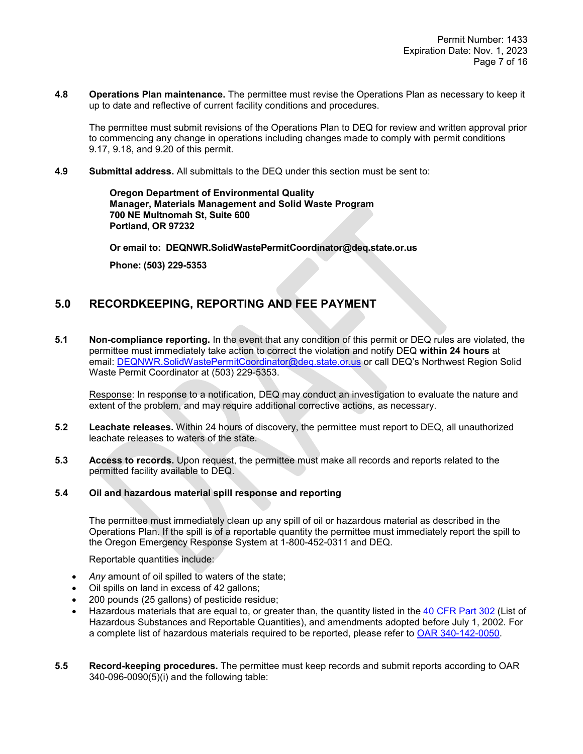**4.8 Operations Plan maintenance.** The permittee must revise the Operations Plan as necessary to keep it up to date and reflective of current facility conditions and procedures.

The permittee must submit revisions of the Operations Plan to DEQ for review and written approval prior to commencing any change in operations including changes made to comply with permit conditions 9.17, 9.18, and 9.20 of this permit.

**4.9 Submittal address.** All submittals to the DEQ under this section must be sent to:

**Oregon Department of Environmental Quality Manager, Materials Management and Solid Waste Program 700 NE Multnomah St, Suite 600 Portland, OR 97232**

**Or email to: DEQNWR.SolidWastePermitCoordinator@deq.state.or.us**

**Phone: (503) 229-5353**

### **5.0 RECORDKEEPING, REPORTING AND FEE PAYMENT**

**5.1 Non-compliance reporting.** In the event that any condition of this permit or DEQ rules are violated, the permittee must immediately take action to correct the violation and notify DEQ **within 24 hours** at email: [DEQNWR.SolidWastePermitCoordinator@deq.state.or.us](mailto:DEQNWR.SolidWastePermitCoordinator@deq.state.or.us) or call DEQ's Northwest Region Solid Waste Permit Coordinator at (503) 229-5353.

Response: In response to a notification, DEQ may conduct an investigation to evaluate the nature and extent of the problem, and may require additional corrective actions, as necessary.

- **5.2 Leachate releases.** Within 24 hours of discovery, the permittee must report to DEQ, all unauthorized leachate releases to waters of the state.
- **5.3 Access to records.** Upon request, the permittee must make all records and reports related to the permitted facility available to DEQ.

#### **5.4 Oil and hazardous material spill response and reporting**

The permittee must immediately clean up any spill of oil or hazardous material as described in the Operations Plan. If the spill is of a reportable quantity the permittee must immediately report the spill to the Oregon Emergency Response System at 1-800-452-0311 and DEQ.

Reportable quantities include:

- *Any* amount of oil spilled to waters of the state;
- Oil spills on land in excess of 42 gallons;
- 200 pounds (25 gallons) of pesticide residue;
- Hazardous materials that are equal to, or greater than, the quantity listed in the [40 CFR Part 302](https://www.ecfr.gov/cgi-bin/text-idx?SID=2ec9b7f594f2b6723d2e1a9670c3138e&mc=true&node=pt40.30.302&rgn=div5) (List of Hazardous Substances and Reportable Quantities), and amendments adopted before July 1, 2002. For a complete list of hazardous materials required to be reported, please refer to [OAR 340-142-0050.](https://secure.sos.state.or.us/oard/viewSingleRule.action?ruleVrsnRsn=72054)
- **5.5 Record-keeping procedures.** The permittee must keep records and submit reports according to OAR 340-096-0090(5)(i) and the following table: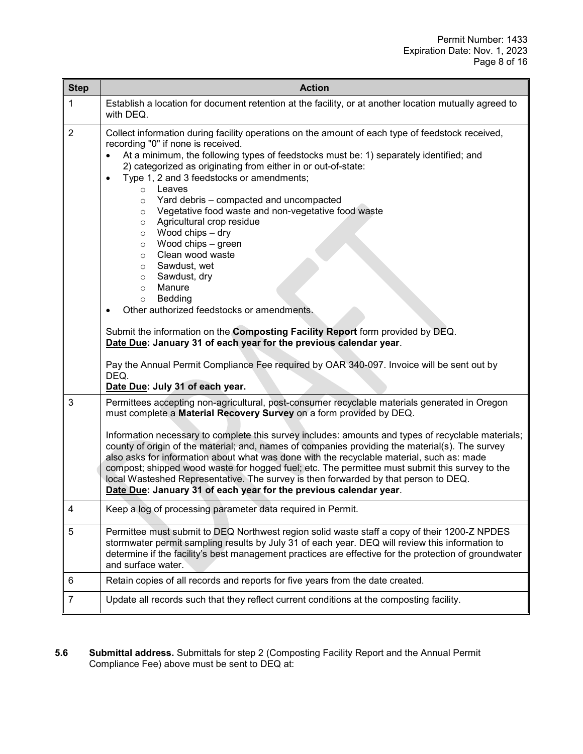| <b>Step</b>    | <b>Action</b>                                                                                                                                                                                                                                                                                                                                                                                                                                                                                                                                                                                                                                                                                                                                                                                                                                                                                                                                                                                                                                              |  |
|----------------|------------------------------------------------------------------------------------------------------------------------------------------------------------------------------------------------------------------------------------------------------------------------------------------------------------------------------------------------------------------------------------------------------------------------------------------------------------------------------------------------------------------------------------------------------------------------------------------------------------------------------------------------------------------------------------------------------------------------------------------------------------------------------------------------------------------------------------------------------------------------------------------------------------------------------------------------------------------------------------------------------------------------------------------------------------|--|
| 1              | Establish a location for document retention at the facility, or at another location mutually agreed to<br>with DEQ.                                                                                                                                                                                                                                                                                                                                                                                                                                                                                                                                                                                                                                                                                                                                                                                                                                                                                                                                        |  |
| $\overline{2}$ | Collect information during facility operations on the amount of each type of feedstock received,<br>recording "0" if none is received.<br>At a minimum, the following types of feedstocks must be: 1) separately identified; and<br>2) categorized as originating from either in or out-of-state:<br>Type 1, 2 and 3 feedstocks or amendments;<br>$\bullet$<br>Leaves<br>$\circ$<br>Yard debris - compacted and uncompacted<br>$\circ$<br>Vegetative food waste and non-vegetative food waste<br>$\circ$<br>Agricultural crop residue<br>$\circ$<br>Wood chips - dry<br>$\circ$<br>Wood chips - green<br>$\circ$<br>Clean wood waste<br>$\circ$<br>Sawdust, wet<br>$\circ$<br>Sawdust, dry<br>$\circ$<br>Manure<br>$\circ$<br>Bedding<br>$\circ$<br>Other authorized feedstocks or amendments.<br>Submit the information on the Composting Facility Report form provided by DEQ.<br>Date Due: January 31 of each year for the previous calendar year.<br>Pay the Annual Permit Compliance Fee required by OAR 340-097. Invoice will be sent out by<br>DEQ. |  |
| 3              | Date Due: July 31 of each year.<br>Permittees accepting non-agricultural, post-consumer recyclable materials generated in Oregon<br>must complete a Material Recovery Survey on a form provided by DEQ.<br>Information necessary to complete this survey includes: amounts and types of recyclable materials;<br>county of origin of the material; and, names of companies providing the material(s). The survey<br>also asks for information about what was done with the recyclable material, such as: made<br>compost; shipped wood waste for hogged fuel; etc. The permittee must submit this survey to the<br>local Wasteshed Representative. The survey is then forwarded by that person to DEQ.<br>Date Due: January 31 of each year for the previous calendar year.                                                                                                                                                                                                                                                                                |  |
| 4              | Keep a log of processing parameter data required in Permit.                                                                                                                                                                                                                                                                                                                                                                                                                                                                                                                                                                                                                                                                                                                                                                                                                                                                                                                                                                                                |  |
| 5              | Permittee must submit to DEQ Northwest region solid waste staff a copy of their 1200-Z NPDES<br>stormwater permit sampling results by July 31 of each year. DEQ will review this information to<br>determine if the facility's best management practices are effective for the protection of groundwater<br>and surface water.                                                                                                                                                                                                                                                                                                                                                                                                                                                                                                                                                                                                                                                                                                                             |  |
| 6              | Retain copies of all records and reports for five years from the date created.                                                                                                                                                                                                                                                                                                                                                                                                                                                                                                                                                                                                                                                                                                                                                                                                                                                                                                                                                                             |  |
| $\overline{7}$ | Update all records such that they reflect current conditions at the composting facility.                                                                                                                                                                                                                                                                                                                                                                                                                                                                                                                                                                                                                                                                                                                                                                                                                                                                                                                                                                   |  |

**5.6 Submittal address.** Submittals for step 2 (Composting Facility Report and the Annual Permit Compliance Fee) above must be sent to DEQ at: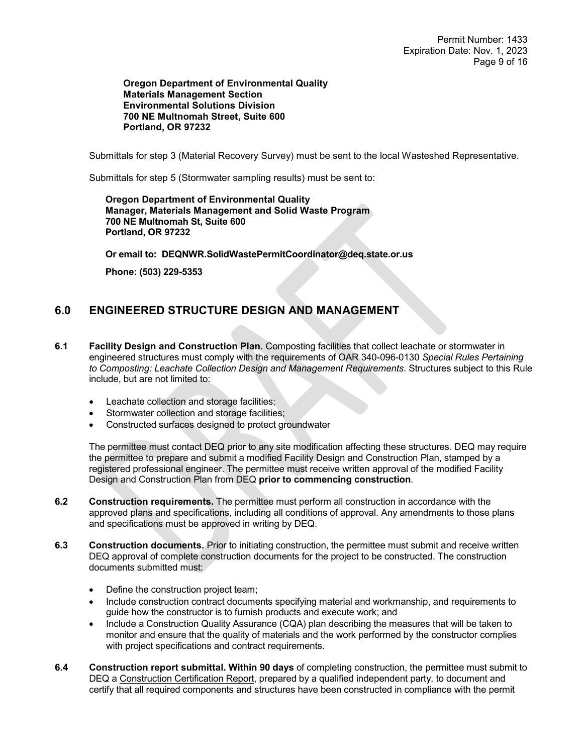**Oregon Department of Environmental Quality Materials Management Section Environmental Solutions Division 700 NE Multnomah Street, Suite 600 Portland, OR 97232**

Submittals for step 3 (Material Recovery Survey) must be sent to the local Wasteshed Representative.

Submittals for step 5 (Stormwater sampling results) must be sent to:

**Oregon Department of Environmental Quality Manager, Materials Management and Solid Waste Program 700 NE Multnomah St, Suite 600 Portland, OR 97232**

**Or email to: DEQNWR.SolidWastePermitCoordinator@deq.state.or.us**

**Phone: (503) 229-5353**

# **6.0 ENGINEERED STRUCTURE DESIGN AND MANAGEMENT**

- **6.1 Facility Design and Construction Plan.** Composting facilities that collect leachate or stormwater in engineered structures must comply with the requirements of OAR 340-096-0130 *Special Rules Pertaining to Composting: Leachate Collection Design and Management Requirements*. Structures subject to this Rule include, but are not limited to:
	- Leachate collection and storage facilities;
	- Stormwater collection and storage facilities;
	- Constructed surfaces designed to protect groundwater

The permittee must contact DEQ prior to any site modification affecting these structures. DEQ may require the permittee to prepare and submit a modified Facility Design and Construction Plan, stamped by a registered professional engineer. The permittee must receive written approval of the modified Facility Design and Construction Plan from DEQ **prior to commencing construction**.

- **6.2 Construction requirements.** The permittee must perform all construction in accordance with the approved plans and specifications, including all conditions of approval. Any amendments to those plans and specifications must be approved in writing by DEQ.
- **6.3 Construction documents.** Prior to initiating construction, the permittee must submit and receive written DEQ approval of complete construction documents for the project to be constructed. The construction documents submitted must:
	- Define the construction project team;
	- Include construction contract documents specifying material and workmanship, and requirements to guide how the constructor is to furnish products and execute work; and
	- Include a Construction Quality Assurance (CQA) plan describing the measures that will be taken to monitor and ensure that the quality of materials and the work performed by the constructor complies with project specifications and contract requirements.
- **6.4 Construction report submittal. Within 90 days** of completing construction, the permittee must submit to DEQ a Construction Certification Report, prepared by a qualified independent party, to document and certify that all required components and structures have been constructed in compliance with the permit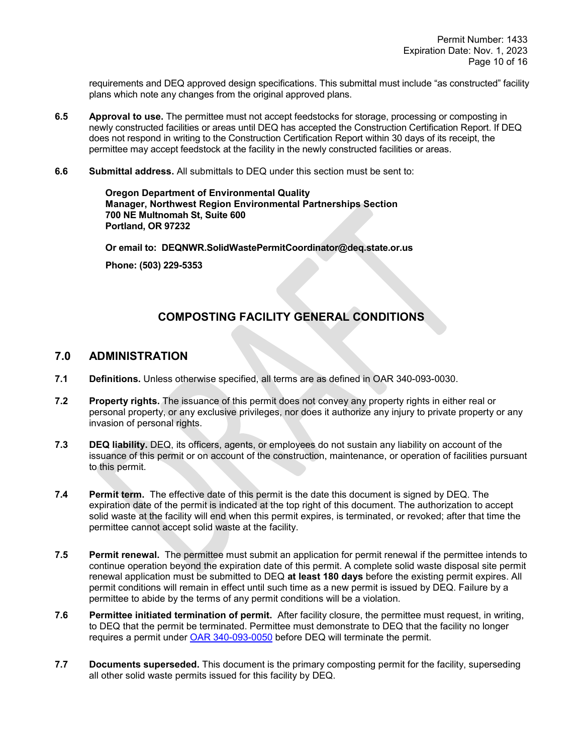requirements and DEQ approved design specifications. This submittal must include "as constructed" facility plans which note any changes from the original approved plans.

- **6.5 Approval to use.** The permittee must not accept feedstocks for storage, processing or composting in newly constructed facilities or areas until DEQ has accepted the Construction Certification Report. If DEQ does not respond in writing to the Construction Certification Report within 30 days of its receipt, the permittee may accept feedstock at the facility in the newly constructed facilities or areas.
- **6.6 Submittal address.** All submittals to DEQ under this section must be sent to:

**Oregon Department of Environmental Quality Manager, Northwest Region Environmental Partnerships Section 700 NE Multnomah St, Suite 600 Portland, OR 97232**

**Or email to: DEQNWR.SolidWastePermitCoordinator@deq.state.or.us**

**Phone: (503) 229-5353**

## **COMPOSTING FACILITY GENERAL CONDITIONS**

### **7.0 ADMINISTRATION**

- **7.1 Definitions.** Unless otherwise specified, all terms are as defined in OAR 340-093-0030.
- **7.2 Property rights.** The issuance of this permit does not convey any property rights in either real or personal property, or any exclusive privileges, nor does it authorize any injury to private property or any invasion of personal rights.
- **7.3 DEQ liability.** DEQ, its officers, agents, or employees do not sustain any liability on account of the issuance of this permit or on account of the construction, maintenance, or operation of facilities pursuant to this permit.
- **7.4 Permit term.** The effective date of this permit is the date this document is signed by DEQ. The expiration date of the permit is indicated at the top right of this document. The authorization to accept solid waste at the facility will end when this permit expires, is terminated, or revoked; after that time the permittee cannot accept solid waste at the facility.
- **7.5 Permit renewal.** The permittee must submit an application for permit renewal if the permittee intends to continue operation beyond the expiration date of this permit. A complete solid waste disposal site permit renewal application must be submitted to DEQ **at least 180 days** before the existing permit expires. All permit conditions will remain in effect until such time as a new permit is issued by DEQ. Failure by a permittee to abide by the terms of any permit conditions will be a violation.
- **7.6 Permittee initiated termination of permit.** After facility closure, the permittee must request, in writing, to DEQ that the permit be terminated. Permittee must demonstrate to DEQ that the facility no longer requires a permit under [OAR 340-093-0050](https://secure.sos.state.or.us/oard/viewSingleRule.action?ruleVrsnRsn=71095) before DEQ will terminate the permit.
- **7.7 Documents superseded.** This document is the primary composting permit for the facility, superseding all other solid waste permits issued for this facility by DEQ.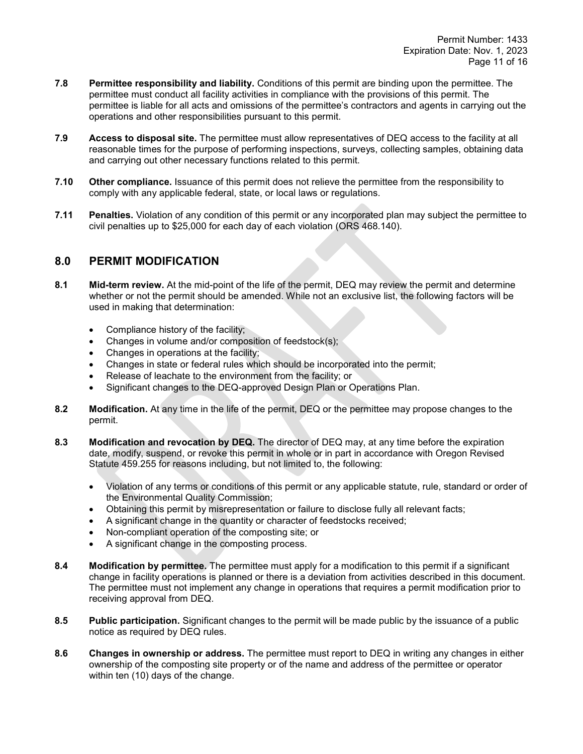- **7.8 Permittee responsibility and liability.** Conditions of this permit are binding upon the permittee. The permittee must conduct all facility activities in compliance with the provisions of this permit. The permittee is liable for all acts and omissions of the permittee's contractors and agents in carrying out the operations and other responsibilities pursuant to this permit.
- **7.9 Access to disposal site.** The permittee must allow representatives of DEQ access to the facility at all reasonable times for the purpose of performing inspections, surveys, collecting samples, obtaining data and carrying out other necessary functions related to this permit.
- **7.10 Other compliance.** Issuance of this permit does not relieve the permittee from the responsibility to comply with any applicable federal, state, or local laws or regulations.
- **7.11 Penalties.** Violation of any condition of this permit or any incorporated plan may subject the permittee to civil penalties up to \$25,000 for each day of each violation (ORS 468.140).

### **8.0 PERMIT MODIFICATION**

- **8.1 Mid-term review.** At the mid-point of the life of the permit, DEQ may review the permit and determine whether or not the permit should be amended. While not an exclusive list, the following factors will be used in making that determination:
	- Compliance history of the facility;
	- Changes in volume and/or composition of feedstock(s);
	- Changes in operations at the facility;
	- Changes in state or federal rules which should be incorporated into the permit;
	- Release of leachate to the environment from the facility; or
	- Significant changes to the DEQ-approved Design Plan or Operations Plan.
- **8.2 Modification.** At any time in the life of the permit, DEQ or the permittee may propose changes to the permit.
- **8.3 Modification and revocation by DEQ.** The director of DEQ may, at any time before the expiration date, modify, suspend, or revoke this permit in whole or in part in accordance with Oregon Revised Statute 459.255 for reasons including, but not limited to, the following:
	- Violation of any terms or conditions of this permit or any applicable statute, rule, standard or order of the Environmental Quality Commission;
	- Obtaining this permit by misrepresentation or failure to disclose fully all relevant facts;
	- A significant change in the quantity or character of feedstocks received;
	- Non-compliant operation of the composting site; or
	- A significant change in the composting process.
- **8.4 Modification by permittee.** The permittee must apply for a modification to this permit if a significant change in facility operations is planned or there is a deviation from activities described in this document. The permittee must not implement any change in operations that requires a permit modification prior to receiving approval from DEQ.
- **8.5 Public participation.** Significant changes to the permit will be made public by the issuance of a public notice as required by DEQ rules.
- **8.6 Changes in ownership or address.** The permittee must report to DEQ in writing any changes in either ownership of the composting site property or of the name and address of the permittee or operator within ten (10) days of the change.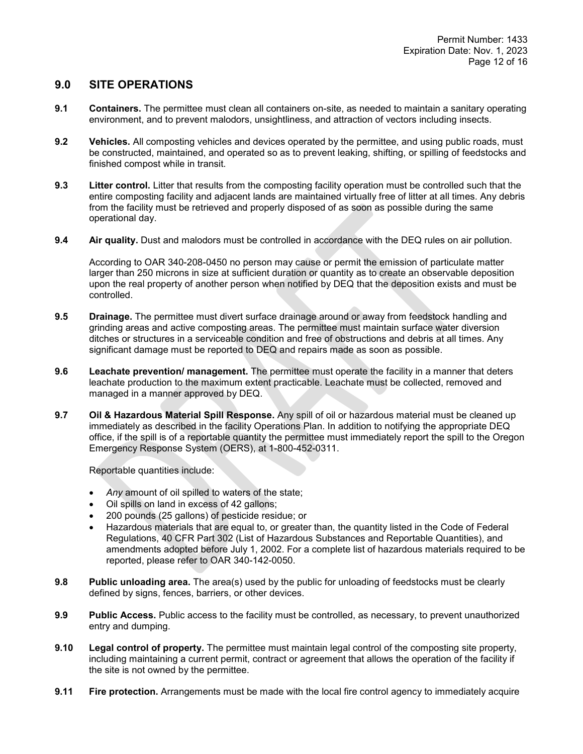### **9.0 SITE OPERATIONS**

- **9.1 Containers.** The permittee must clean all containers on-site, as needed to maintain a sanitary operating environment, and to prevent malodors, unsightliness, and attraction of vectors including insects.
- **9.2 Vehicles.** All composting vehicles and devices operated by the permittee, and using public roads, must be constructed, maintained, and operated so as to prevent leaking, shifting, or spilling of feedstocks and finished compost while in transit.
- **9.3 Litter control.** Litter that results from the composting facility operation must be controlled such that the entire composting facility and adjacent lands are maintained virtually free of litter at all times. Any debris from the facility must be retrieved and properly disposed of as soon as possible during the same operational day.
- **9.4 Air quality.** Dust and malodors must be controlled in accordance with the DEQ rules on air pollution.

According to OAR 340-208-0450 no person may cause or permit the emission of particulate matter larger than 250 microns in size at sufficient duration or quantity as to create an observable deposition upon the real property of another person when notified by DEQ that the deposition exists and must be controlled.

- **9.5 Drainage.** The permittee must divert surface drainage around or away from feedstock handling and grinding areas and active composting areas. The permittee must maintain surface water diversion ditches or structures in a serviceable condition and free of obstructions and debris at all times. Any significant damage must be reported to DEQ and repairs made as soon as possible.
- **9.6 Leachate prevention/ management.** The permittee must operate the facility in a manner that deters leachate production to the maximum extent practicable. Leachate must be collected, removed and managed in a manner approved by DEQ.
- **9.7 Oil & Hazardous Material Spill Response.** Any spill of oil or hazardous material must be cleaned up immediately as described in the facility Operations Plan. In addition to notifying the appropriate DEQ office, if the spill is of a reportable quantity the permittee must immediately report the spill to the Oregon Emergency Response System (OERS), at 1-800-452-0311.

Reportable quantities include:

- *Any* amount of oil spilled to waters of the state;
- Oil spills on land in excess of 42 gallons;
- 200 pounds (25 gallons) of pesticide residue; or
- Hazardous materials that are equal to, or greater than, the quantity listed in the Code of Federal Regulations, 40 CFR Part 302 (List of Hazardous Substances and Reportable Quantities), and amendments adopted before July 1, 2002. For a complete list of hazardous materials required to be reported, please refer to OAR 340-142-0050.
- **9.8 Public unloading area.** The area(s) used by the public for unloading of feedstocks must be clearly defined by signs, fences, barriers, or other devices.
- **9.9 Public Access.** Public access to the facility must be controlled, as necessary, to prevent unauthorized entry and dumping.
- **9.10 Legal control of property.** The permittee must maintain legal control of the composting site property, including maintaining a current permit, contract or agreement that allows the operation of the facility if the site is not owned by the permittee.
- **9.11 Fire protection.** Arrangements must be made with the local fire control agency to immediately acquire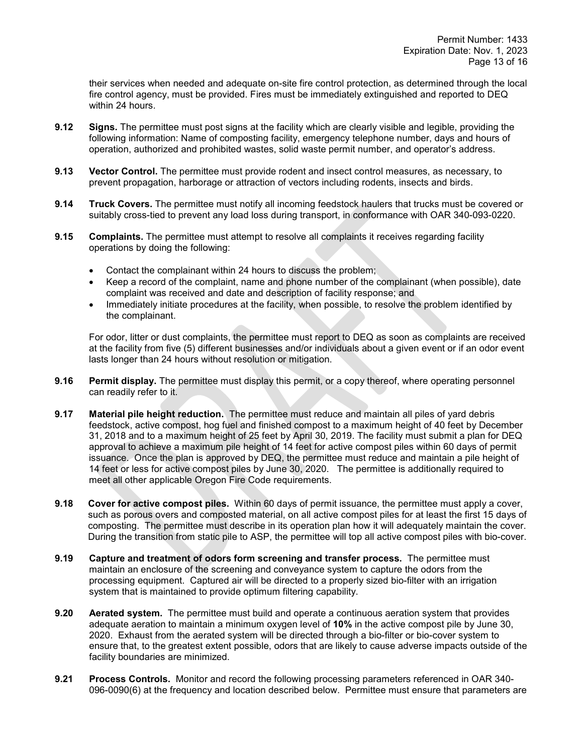their services when needed and adequate on-site fire control protection, as determined through the local fire control agency, must be provided. Fires must be immediately extinguished and reported to DEQ within 24 hours.

- **9.12 Signs.** The permittee must post signs at the facility which are clearly visible and legible, providing the following information: Name of composting facility, emergency telephone number, days and hours of operation, authorized and prohibited wastes, solid waste permit number, and operator's address.
- **9.13 Vector Control.** The permittee must provide rodent and insect control measures, as necessary, to prevent propagation, harborage or attraction of vectors including rodents, insects and birds.
- **9.14 Truck Covers.** The permittee must notify all incoming feedstock haulers that trucks must be covered or suitably cross-tied to prevent any load loss during transport, in conformance with OAR 340-093-0220.
- **9.15 Complaints.** The permittee must attempt to resolve all complaints it receives regarding facility operations by doing the following:
	- Contact the complainant within 24 hours to discuss the problem;
	- Keep a record of the complaint, name and phone number of the complainant (when possible), date complaint was received and date and description of facility response; and
	- Immediately initiate procedures at the facility, when possible, to resolve the problem identified by the complainant.

For odor, litter or dust complaints, the permittee must report to DEQ as soon as complaints are received at the facility from five (5) different businesses and/or individuals about a given event or if an odor event lasts longer than 24 hours without resolution or mitigation.

- **9.16 Permit display.** The permittee must display this permit, or a copy thereof, where operating personnel can readily refer to it.
- **9.17 Material pile height reduction.** The permittee must reduce and maintain all piles of yard debris feedstock, active compost, hog fuel and finished compost to a maximum height of 40 feet by December 31, 2018 and to a maximum height of 25 feet by April 30, 2019. The facility must submit a plan for DEQ approval to achieve a maximum pile height of 14 feet for active compost piles within 60 days of permit issuance. Once the plan is approved by DEQ, the permittee must reduce and maintain a pile height of 14 feet or less for active compost piles by June 30, 2020. The permittee is additionally required to meet all other applicable Oregon Fire Code requirements.
- **9.18 Cover for active compost piles.** Within 60 days of permit issuance, the permittee must apply a cover, such as porous overs and composted material, on all active compost piles for at least the first 15 days of composting. The permittee must describe in its operation plan how it will adequately maintain the cover. During the transition from static pile to ASP, the permittee will top all active compost piles with bio-cover.
- **9.19 Capture and treatment of odors form screening and transfer process.** The permittee must maintain an enclosure of the screening and conveyance system to capture the odors from the processing equipment. Captured air will be directed to a properly sized bio-filter with an irrigation system that is maintained to provide optimum filtering capability.
- **9.20 Aerated system.** The permittee must build and operate a continuous aeration system that provides adequate aeration to maintain a minimum oxygen level of **10%** in the active compost pile by June 30, 2020. Exhaust from the aerated system will be directed through a bio-filter or bio-cover system to ensure that, to the greatest extent possible, odors that are likely to cause adverse impacts outside of the facility boundaries are minimized.
- **9.21 Process Controls.** Monitor and record the following processing parameters referenced in OAR 340- 096-0090(6) at the frequency and location described below. Permittee must ensure that parameters are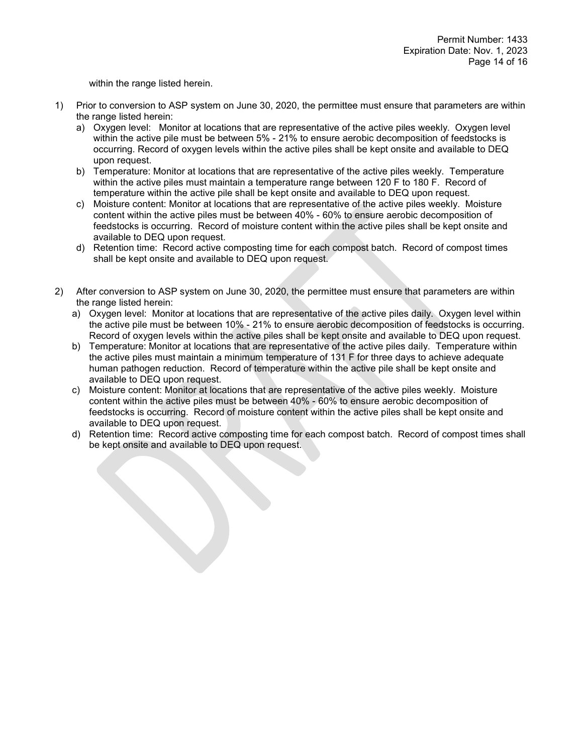within the range listed herein.

- 1) Prior to conversion to ASP system on June 30, 2020, the permittee must ensure that parameters are within the range listed herein:
	- a) Oxygen level: Monitor at locations that are representative of the active piles weekly. Oxygen level within the active pile must be between 5% - 21% to ensure aerobic decomposition of feedstocks is occurring. Record of oxygen levels within the active piles shall be kept onsite and available to DEQ upon request.
	- b) Temperature: Monitor at locations that are representative of the active piles weekly. Temperature within the active piles must maintain a temperature range between 120 F to 180 F. Record of temperature within the active pile shall be kept onsite and available to DEQ upon request.
	- c) Moisture content: Monitor at locations that are representative of the active piles weekly. Moisture content within the active piles must be between 40% - 60% to ensure aerobic decomposition of feedstocks is occurring. Record of moisture content within the active piles shall be kept onsite and available to DEQ upon request.
	- d) Retention time: Record active composting time for each compost batch. Record of compost times shall be kept onsite and available to DEQ upon request.
- 2) After conversion to ASP system on June 30, 2020, the permittee must ensure that parameters are within the range listed herein:
	- a) Oxygen level: Monitor at locations that are representative of the active piles daily. Oxygen level within the active pile must be between 10% - 21% to ensure aerobic decomposition of feedstocks is occurring. Record of oxygen levels within the active piles shall be kept onsite and available to DEQ upon request.
	- b) Temperature: Monitor at locations that are representative of the active piles daily. Temperature within the active piles must maintain a minimum temperature of 131 F for three days to achieve adequate human pathogen reduction. Record of temperature within the active pile shall be kept onsite and available to DEQ upon request.
	- c) Moisture content: Monitor at locations that are representative of the active piles weekly. Moisture content within the active piles must be between 40% - 60% to ensure aerobic decomposition of feedstocks is occurring. Record of moisture content within the active piles shall be kept onsite and available to DEQ upon request.
	- d) Retention time: Record active composting time for each compost batch. Record of compost times shall be kept onsite and available to DEQ upon request.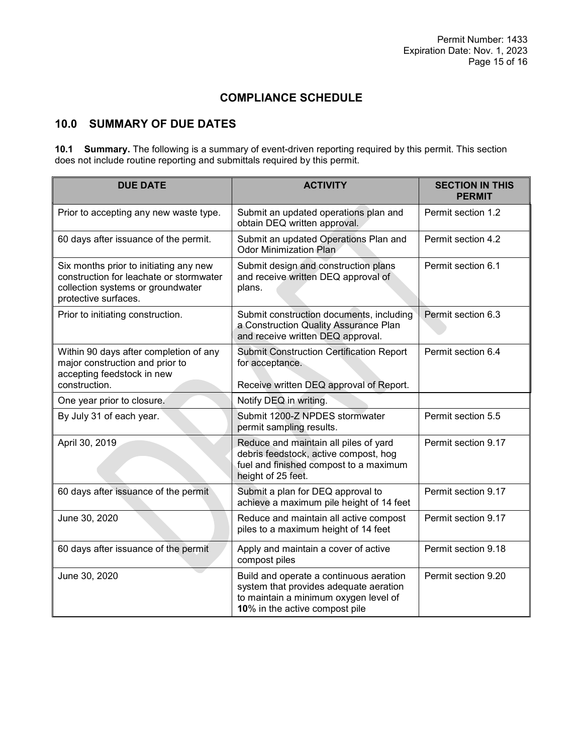# **COMPLIANCE SCHEDULE**

# **10.0 SUMMARY OF DUE DATES**

**10.1 Summary.** The following is a summary of event-driven reporting required by this permit. This section does not include routine reporting and submittals required by this permit.

| <b>DUE DATE</b>                                                                                                                                | <b>ACTIVITY</b>                                                                                                                                              | <b>SECTION IN THIS</b><br><b>PERMIT</b> |
|------------------------------------------------------------------------------------------------------------------------------------------------|--------------------------------------------------------------------------------------------------------------------------------------------------------------|-----------------------------------------|
| Prior to accepting any new waste type.                                                                                                         | Submit an updated operations plan and<br>obtain DEQ written approval.                                                                                        | Permit section 1.2                      |
| 60 days after issuance of the permit.                                                                                                          | Submit an updated Operations Plan and<br><b>Odor Minimization Plan</b>                                                                                       | Permit section 4.2                      |
| Six months prior to initiating any new<br>construction for leachate or stormwater<br>collection systems or groundwater<br>protective surfaces. | Submit design and construction plans<br>and receive written DEQ approval of<br>plans.                                                                        | Permit section 6.1                      |
| Prior to initiating construction.                                                                                                              | Submit construction documents, including<br>a Construction Quality Assurance Plan<br>and receive written DEQ approval.                                       | Permit section 6.3                      |
| Within 90 days after completion of any<br>major construction and prior to<br>accepting feedstock in new<br>construction.                       | <b>Submit Construction Certification Report</b><br>for acceptance.<br>Receive written DEQ approval of Report.                                                | Permit section 6.4                      |
| One year prior to closure.                                                                                                                     | Notify DEQ in writing.                                                                                                                                       |                                         |
| By July 31 of each year.                                                                                                                       | Submit 1200-Z NPDES stormwater<br>permit sampling results.                                                                                                   | Permit section 5.5                      |
| April 30, 2019                                                                                                                                 | Reduce and maintain all piles of yard<br>debris feedstock, active compost, hog<br>fuel and finished compost to a maximum<br>height of 25 feet.               | Permit section 9.17                     |
| 60 days after issuance of the permit                                                                                                           | Submit a plan for DEQ approval to<br>achieve a maximum pile height of 14 feet                                                                                | Permit section 9.17                     |
| June 30, 2020                                                                                                                                  | Reduce and maintain all active compost<br>piles to a maximum height of 14 feet                                                                               | Permit section 9.17                     |
| 60 days after issuance of the permit                                                                                                           | Apply and maintain a cover of active<br>compost piles                                                                                                        | Permit section 9.18                     |
| June 30, 2020                                                                                                                                  | Build and operate a continuous aeration<br>system that provides adequate aeration<br>to maintain a minimum oxygen level of<br>10% in the active compost pile | Permit section 9.20                     |